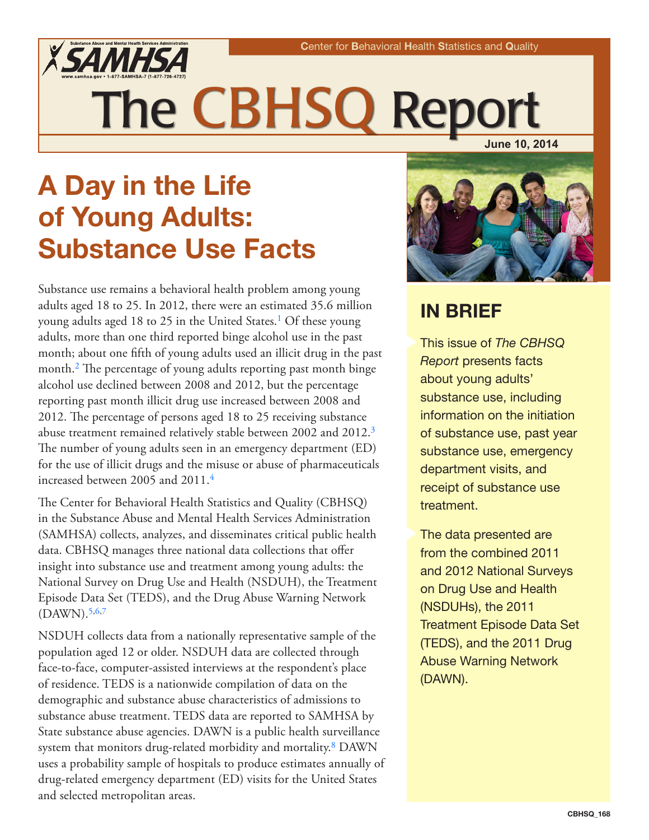

# The CBHSQ Repo **June 10, 2014**

A Day in the Life of Young Adults: Substance Use Facts

<span id="page-0-1"></span><span id="page-0-0"></span>Substance use remains a behavioral health problem among young adults aged 18 to 25. In 2012, there were an estimated 35.6 million young adults aged 18 to 25 in the United States.<sup>1</sup> Of these young adults, more than one third reported binge alcohol use in the past month; about one fifth of young adults used an illicit drug in the past month.<sup>2</sup> The percentage of young adults reporting past month binge alcohol use declined between 2008 and 2012, but the percentage reporting past month illicit drug use increased between 2008 and 2012. The percentage of persons aged 18 to 25 receiving substance abuse treatment remained relatively stable between 2002 and 2012[.3](#page-5-2) The number of young adults seen in an emergency department (ED) for the use of illicit drugs and the misuse or abuse of pharmaceuticals increased between 2005 and 2011[.4](#page-5-3)

<span id="page-0-3"></span><span id="page-0-2"></span>The Center for Behavioral Health Statistics and Quality (CBHSQ) in the Substance Abuse and Mental Health Services Administration (SAMHSA) collects, analyzes, and disseminates critical public health data. CBHSQ manages three national data collections that offer insight into substance use and treatment among young adults: the National Survey on Drug Use and Health (NSDUH), the Treatment Episode Data Set (TEDS), and the Drug Abuse Warning Network  $(DAWN).$ <sup>5,[6](#page-5-5)[,7](#page-5-6)</sup>

<span id="page-0-5"></span><span id="page-0-4"></span>NSDUH collects data from a nationally representative sample of the population aged 12 or older. NSDUH data are collected through face-to-face, computer-assisted interviews at the respondent's place of residence. TEDS is a nationwide compilation of data on the demographic and substance abuse characteristics of admissions to substance abuse treatment. TEDS data are reported to SAMHSA by State substance abuse agencies. DAWN is a public health surveillance system that monitors drug-related morbidity and mortality.<sup>8</sup> DAWN uses a probability sample of hospitals to produce estimates annually of drug-related emergency department (ED) visits for the United States and selected metropolitan areas.



# IN BRIEF

X This issue of *The CBHSQ Report* presents facts about young adults' substance use, including information on the initiation of substance use, past year substance use, emergency department visits, and receipt of substance use treatment.

The data presented are from the combined 2011 and 2012 National Surveys on Drug Use and Health (NSDUHs), the 2011 Treatment Episode Data Set (TEDS), and the 2011 Drug Abuse Warning Network (DAWN).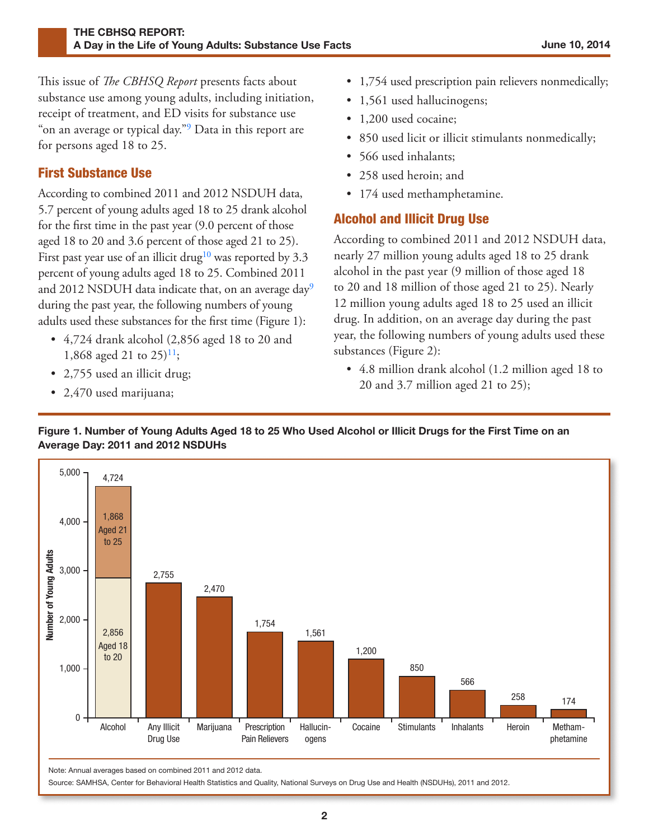<span id="page-1-0"></span>This issue of *The CBHSQ Report* presents facts about substance use among young adults, including initiation, receipt of treatment, and ED visits for substance use on an average or typical day."<sup>9</sup> Data in this report are for persons aged 18 to 25.

# First Substance Use

<span id="page-1-1"></span>According to combined 2011 and 2012 NSDUH data, 5.7 percent of young adults aged 18 to 25 drank alcohol for the first time in the past year (9.0 percent of those aged 18 to 20 and 3.6 percent of those aged 21 to 25). First past year use of an illicit drug<sup>10</sup> was reported by 3.3 percent of young adults aged 18 to 25. Combined 2011 and 2012 NSDUH data indicate that, on an average day<sup>9</sup> during the past year, the following numbers of young adults used these substances for the first time (Figure 1):

- <span id="page-1-2"></span>• 4,724 drank alcohol (2,856 aged 18 to 20 and 1,868 aged 21 to 25)<sup>11</sup>;
- 2,755 used an illicit drug;
- 2,470 used marijuana;
- 1,754 used prescription pain relievers nonmedically;
- 1,561 used hallucinogens;
- 1,200 used cocaine;
- 850 used licit or illicit stimulants nonmedically;
- 566 used inhalants;
- 258 used heroin; and
- 174 used methamphetamine.

## Alcohol and Illicit Drug Use

According to combined 2011 and 2012 NSDUH data, nearly 27 million young adults aged 18 to 25 drank alcohol in the past year (9 million of those aged 18 to 20 and 18 million of those aged 21 to 25). Nearly 12 million young adults aged 18 to 25 used an illicit drug. In addition, on an average day during the past year, the following numbers of young adults used these substances (Figure 2):

• 4.8 million drank alcohol (1.2 million aged 18 to 20 and 3.7 million aged 21 to 25);

#### Figure 1. Number of Young Adults Aged 18 to 25 Who Used Alcohol or Illicit Drugs for the First Time on an Average Day: 2011 and 2012 NSDUHs



Note: Annual averages based on combined 2011 and 2012 data.

Source: SAMHSA, Center for Behavioral Health Statistics and Quality, National Surveys on Drug Use and Health (NSDUHs), 2011 and 2012.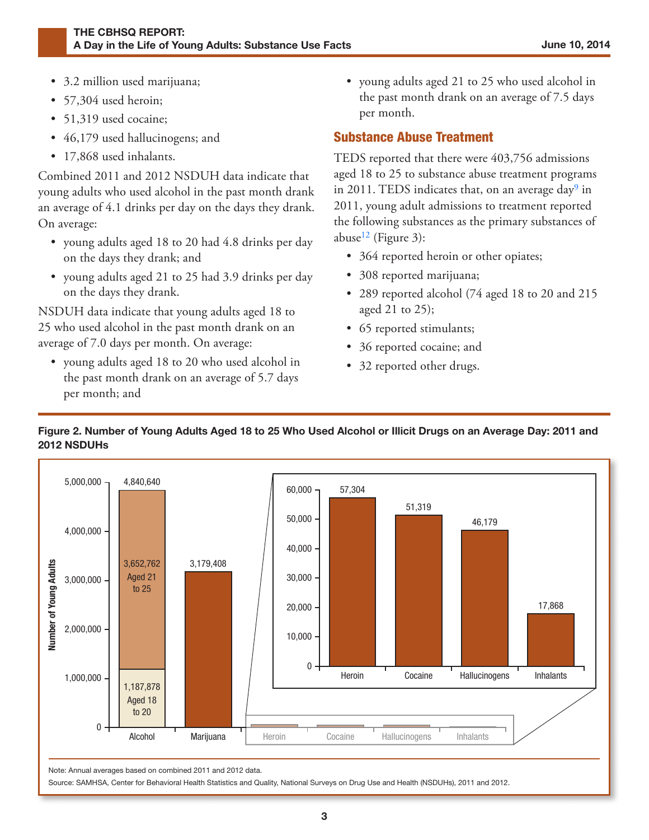- 3.2 million used marijuana;
- 57,304 used heroin;
- 51,319 used cocaine;
- 46,179 used hallucinogens; and
- 17,868 used inhalants.

Combined 2011 and 2012 NSDUH data indicate that young adults who used alcohol in the past month drank an average of 4.1 drinks per day on the days they drank. On average:

- <span id="page-2-0"></span>• young adults aged 18 to 20 had 4.8 drinks per day on the days they drank; and
- young adults aged 21 to 25 had 3.9 drinks per day on the days they drank.

NSDUH data indicate that young adults aged 18 to 25 who used alcohol in the past month drank on an average of 7.0 days per month. On average:

• young adults aged 18 to 20 who used alcohol in the past month drank on an average of 5.7 days per month; and

• young adults aged 21 to 25 who used alcohol in the past month drank on an average of 7.5 days per month.

#### Substance Abuse Treatment

TEDS reported that there were 403,756 admissions aged 18 to 25 to substance abuse treatment programs in 2011. TEDS indicates that, on an average day $9$  in 2011, young adult admissions to treatment reported the following substances as the primary substances of abuse<sup>12</sup> (Figure 3):

- 364 reported heroin or other opiates;
- 308 reported marijuana;
- 289 reported alcohol (74 aged 18 to 20 and 215 aged 21 to 25);
- 65 reported stimulants;
- 36 reported cocaine; and
- 32 reported other drugs.



#### Figure 2. Number of Young Adults Aged 18 to 25 Who Used Alcohol or Illicit Drugs on an Average Day: 2011 and 2012 NSDUHs

Note: Annual averages based on combined 2011 and 2012 data.

Alcohol

Source: SAMHSA, Center for Behavioral Health Statistics and Quality, National Surveys on Drug Use and Health (NSDUHs), 2011 and 2012.

**Marijuana** | Heroin Cocaine Hallucinogens Inhalants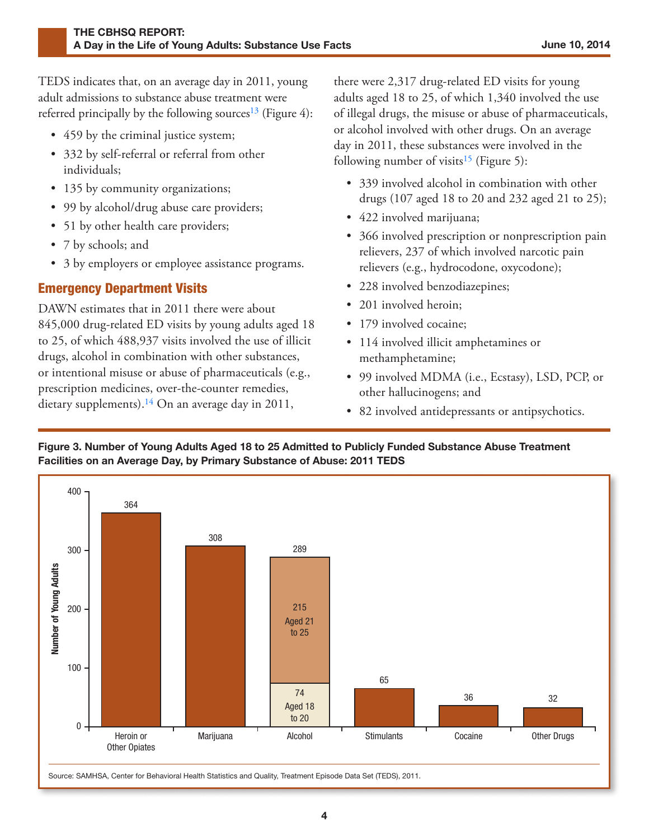<span id="page-3-0"></span>TEDS indicates that, on an average day in 2011, young adult admissions to substance abuse treatment were referred principally by the following sources<sup>13</sup> (Figure 4):

- 459 by the criminal justice system;
- <span id="page-3-2"></span>• 332 by self-referral or referral from other individuals;
- 135 by community organizations;
- 99 by alcohol/drug abuse care providers;
- 51 by other health care providers;
- 7 by schools; and
- 3 by employers or employee assistance programs.

## Emergency Department Visits

DAWN estimates that in 2011 there were about 845,000 drug-related ED visits by young adults aged 18 to 25, of which 488,937 visits involved the use of illicit drugs, alcohol in combination with other substances, or intentional misuse or abuse of pharmaceuticals (e.g., prescription medicines, over-the-counter remedies, dietary supplements).<sup>14</sup> On an average day in 2011,

there were 2,317 drug-related ED visits for young adults aged 18 to 25, of which 1,340 involved the use of illegal drugs, the misuse or abuse of pharmaceuticals, or alcohol involved with other drugs. On an average day in 2011, these substances were involved in the following number of visits<sup>15</sup> (Figure 5):

- 339 involved alcohol in combination with other drugs (107 aged 18 to 20 and 232 aged 21 to 25);
- 422 involved marijuana;
- 366 involved prescription or nonprescription pain relievers, 237 of which involved narcotic pain relievers (e.g., hydrocodone, oxycodone);
- 228 involved benzodiazepines;
- 201 involved heroin:
- 179 involved cocaine;
- 114 involved illicit amphetamines or methamphetamine;
- 99 involved MDMA (i.e., Ecstasy), LSD, PCP, or other hallucinogens; and
- 82 involved antidepressants or antipsychotics.



<span id="page-3-1"></span>Figure 3. Number of Young Adults Aged 18 to 25 Admitted to Publicly Funded Substance Abuse Treatment Facilities on an Average Day, by Primary Substance of Abuse: 2011 TEDS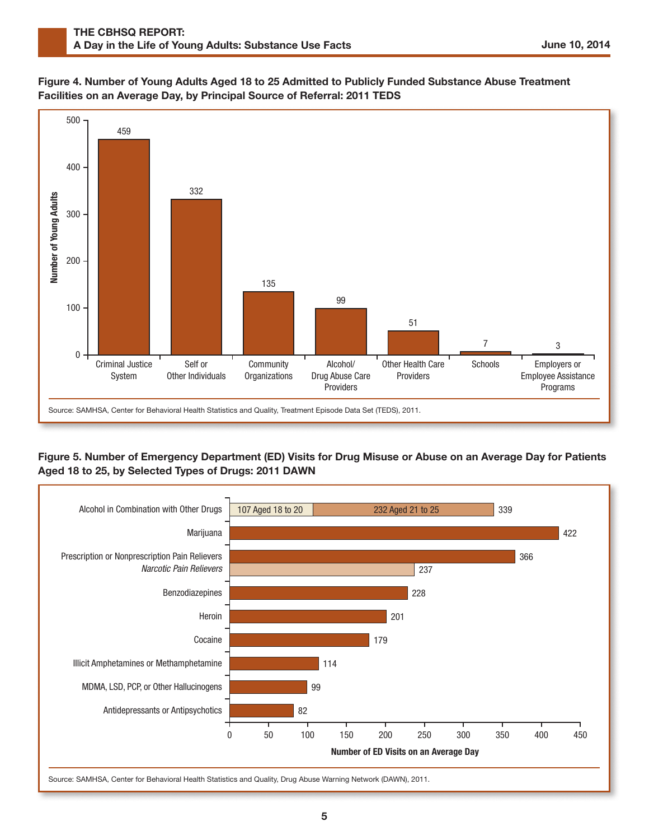#### Figure 4. Number of Young Adults Aged 18 to 25 Admitted to Publicly Funded Substance Abuse Treatment Facilities on an Average Day, by Principal Source of Referral: 2011 TEDS



#### Figure 5. Number of Emergency Department (ED) Visits for Drug Misuse or Abuse on an Average Day for Patients Aged 18 to 25, by Selected Types of Drugs: 2011 DAWN

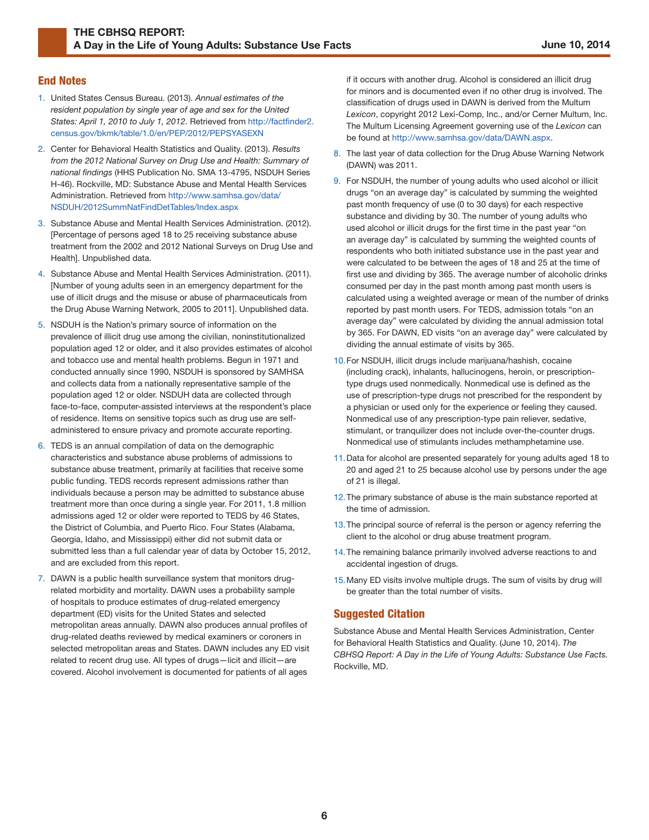#### End Notes

- <span id="page-5-0"></span>[1.](#page-0-0) United States Census Bureau. (2013). *Annual estimates of the resident population by single year of age and sex for the United States: April 1, 2010 to July 1, 2012*. Retrieved from [http://factfinder2.](http://factfinder2.census.gov/bkmk/table/1.0/en/PEP/2012/PEPSYASEXN) [census.gov/bkmk/table/1.0/en/PEP/2012/PEPSYASEXN](http://factfinder2.census.gov/bkmk/table/1.0/en/PEP/2012/PEPSYASEXN)
- <span id="page-5-8"></span><span id="page-5-7"></span><span id="page-5-1"></span>[2.](#page-0-1) Center for Behavioral Health Statistics and Quality. (2013). *Results from the 2012 National Survey on Drug Use and Health: Summary of national findings* (HHS Publication No. SMA 13-4795, NSDUH Series H-46). Rockville, MD: Substance Abuse and Mental Health Services Administration. Retrieved from [http://www.samhsa.gov/data/](http://www.samhsa.gov/data/NSDUH/2012SummNatFindDetTables/Index.aspx) [NSDUH/2012SummNatFindDetTables/Index.aspx](http://www.samhsa.gov/data/NSDUH/2012SummNatFindDetTables/Index.aspx)
- <span id="page-5-2"></span>[3.](#page-0-2) Substance Abuse and Mental Health Services Administration. (2012). [Percentage of persons aged 18 to 25 receiving substance abuse treatment from the 2002 and 2012 National Surveys on Drug Use and Health]. Unpublished data.
- <span id="page-5-3"></span>[4.](#page-0-3) Substance Abuse and Mental Health Services Administration. (2011). [Number of young adults seen in an emergency department for the use of illicit drugs and the misuse or abuse of pharmaceuticals from the Drug Abuse Warning Network, 2005 to 2011]. Unpublished data.
- <span id="page-5-9"></span><span id="page-5-4"></span>[5.](#page-0-4) NSDUH is the Nation's primary source of information on the prevalence of illicit drug use among the civilian, noninstitutionalized population aged 12 or older, and it also provides estimates of alcohol and tobacco use and mental health problems. Begun in 1971 and conducted annually since 1990, NSDUH is sponsored by SAMHSA and collects data from a nationally representative sample of the population aged 12 or older. NSDUH data are collected through face-to-face, computer-assisted interviews at the respondent's place of residence. Items on sensitive topics such as drug use are selfadministered to ensure privacy and promote accurate reporting.
- <span id="page-5-11"></span><span id="page-5-10"></span><span id="page-5-5"></span>[6.](#page-0-4) TEDS is an annual compilation of data on the demographic characteristics and substance abuse problems of admissions to substance abuse treatment, primarily at facilities that receive some public funding. TEDS records represent admissions rather than individuals because a person may be admitted to substance abuse treatment more than once during a single year. For 2011, 1.8 million admissions aged 12 or older were reported to TEDS by 46 States, the District of Columbia, and Puerto Rico. Four States (Alabama, Georgia, Idaho, and Mississippi) either did not submit data or submitted less than a full calendar year of data by October 15, 2012, and are excluded from this report.
- <span id="page-5-14"></span><span id="page-5-13"></span><span id="page-5-12"></span><span id="page-5-6"></span>[7.](#page-0-4) DAWN is a public health surveillance system that monitors drugrelated morbidity and mortality. DAWN uses a probability sample of hospitals to produce estimates of drug-related emergency department (ED) visits for the United States and selected metropolitan areas annually. DAWN also produces annual profiles of drug-related deaths reviewed by medical examiners or coroners in selected metropolitan areas and States. DAWN includes any ED visit related to recent drug use. All types of drugs—licit and illicit—are covered. Alcohol involvement is documented for patients of all ages

if it occurs with another drug. Alcohol is considered an illicit drug for minors and is documented even if no other drug is involved. The classification of drugs used in DAWN is derived from the Multum be found at [http://www.samhsa.gov/data/DAWN.aspx.](http://www.samhsa.gov/data/DAWN.aspx) *Lexicon*, copyright 2012 Lexi-Comp, Inc., and/or Cerner Multum, Inc. The Multum Licensing Agreement governing use of the *Lexicon* can

- [8.](#page-0-5) The last year of data collection for the Drug Abuse Warning Network (DAWN) was 2011.
- [9.](#page-1-0) For NSDUH, the number of young adults who used alcohol or illicit drugs "on an average day" is calculated by summing the weighted past month frequency of use (0 to 30 days) for each respective substance and dividing by 30. The number of young adults who used alcohol or illicit drugs for the first time in the past year "on an average day" is calculated by summing the weighted counts of respondents who both initiated substance use in the past year and were calculated to be between the ages of 18 and 25 at the time of first use and dividing by 365. The average number of alcoholic drinks consumed per day in the past month among past month users is calculated using a weighted average or mean of the number of drinks reported by past month users. For TEDS, admission totals "on an average day" were calculated by dividing the annual admission total by 365. For DAWN, ED visits "on an average day" were calculated by dividing the annual estimate of visits by 365.
- [10.](#page-1-1)For NSDUH, illicit drugs include marijuana/hashish, cocaine (including crack), inhalants, hallucinogens, heroin, or prescriptiontype drugs used nonmedically. Nonmedical use is defined as the use of prescription-type drugs not prescribed for the respondent by a physician or used only for the experience or feeling they caused. Nonmedical use of any prescription-type pain reliever, sedative, stimulant, or tranquilizer does not include over-the-counter drugs. Nonmedical use of stimulants includes methamphetamine use.
- [11.](#page-1-2)Data for alcohol are presented separately for young adults aged 18 to 20 and aged 21 to 25 because alcohol use by persons under the age of 21 is illegal.
- [12.](#page-2-0)The primary substance of abuse is the main substance reported at the time of admission.
- [13.](#page-3-0)The principal source of referral is the person or agency referring the client to the alcohol or drug abuse treatment program.
- [14.](#page-3-1)The remaining balance primarily involved adverse reactions to and accidental ingestion of drugs.
- [15.](#page-3-2)Many ED visits involve multiple drugs. The sum of visits by drug will be greater than the total number of visits.

#### **Suggested Citation**

Substance Abuse and Mental Health Services Administration, Center for Behavioral Health Statistics and Quality. (June 10, 2014). *The CBHSQ Report: A Day in the Life of Young Adults: Substance Use Facts.* Rockville, MD.